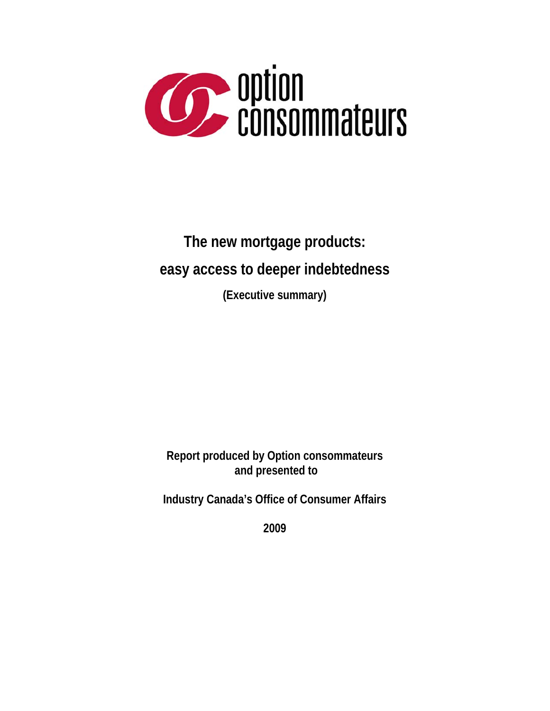

# **The new mortgage products: easy access to deeper indebtedness (Executive summary)**

### **Report produced by Option consommateurs and presented to**

**Industry Canada's Office of Consumer Affairs** 

**2009**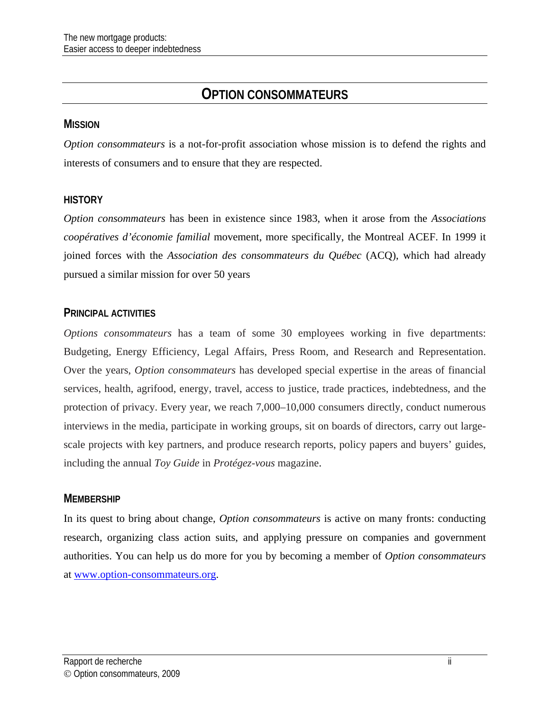### **OPTION CONSOMMATEURS**

#### **MISSION**

*Option consommateurs* is a not-for-profit association whose mission is to defend the rights and interests of consumers and to ensure that they are respected.

#### **HISTORY**

*Option consommateurs* has been in existence since 1983, when it arose from the *Associations coopératives d'économie familial* movement, more specifically, the Montreal ACEF. In 1999 it joined forces with the *Association des consommateurs du Québec* (ACQ), which had already pursued a similar mission for over 50 years

#### **PRINCIPAL ACTIVITIES**

*Options consommateurs* has a team of some 30 employees working in five departments: Budgeting, Energy Efficiency, Legal Affairs, Press Room, and Research and Representation. Over the years, *Option consommateurs* has developed special expertise in the areas of financial services, health, agrifood, energy, travel, access to justice, trade practices, indebtedness, and the protection of privacy. Every year, we reach 7,000–10,000 consumers directly, conduct numerous interviews in the media, participate in working groups, sit on boards of directors, carry out largescale projects with key partners, and produce research reports, policy papers and buyers' guides, including the annual *Toy Guide* in *Protégez-vous* magazine.

#### **MEMBERSHIP**

In its quest to bring about change, *Option consommateurs* is active on many fronts: conducting research, organizing class action suits, and applying pressure on companies and government authorities. You can help us do more for you by becoming a member of *Option consommateurs* at [www.option-consommateurs.org.](http://www.option-consommateurs.org/)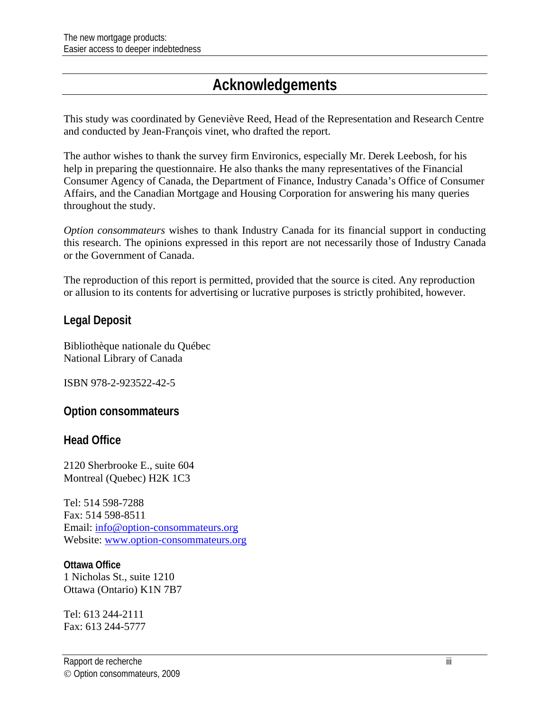# **Acknowledgements**

This study was coordinated by Geneviève Reed, Head of the Representation and Research Centre and conducted by Jean-François vinet, who drafted the report.

The author wishes to thank the survey firm Environics, especially Mr. Derek Leebosh, for his help in preparing the questionnaire. He also thanks the many representatives of the Financial Consumer Agency of Canada, the Department of Finance, Industry Canada's Office of Consumer Affairs, and the Canadian Mortgage and Housing Corporation for answering his many queries throughout the study.

*Option consommateurs* wishes to thank Industry Canada for its financial support in conducting this research. The opinions expressed in this report are not necessarily those of Industry Canada or the Government of Canada.

The reproduction of this report is permitted, provided that the source is cited. Any reproduction or allusion to its contents for advertising or lucrative purposes is strictly prohibited, however.

#### **Legal Deposit**

Bibliothèque nationale du Québec National Library of Canada

ISBN 978-2-923522-42-5

**Option consommateurs** 

**Head Office** 

2120 Sherbrooke E., suite 604 Montreal (Quebec) H2K 1C3

Tel: 514 598-7288 Fax: 514 598-8511 Email: [info@option-consommateurs.org](mailto:info@option-consommateurs.org)  Website: [www.option-consommateurs.org](http://www.option-consommateurs.org/) 

**Ottawa Office** 1 Nicholas St., suite 1210 Ottawa (Ontario) K1N 7B7

Tel: 613 244-2111 Fax: 613 244-5777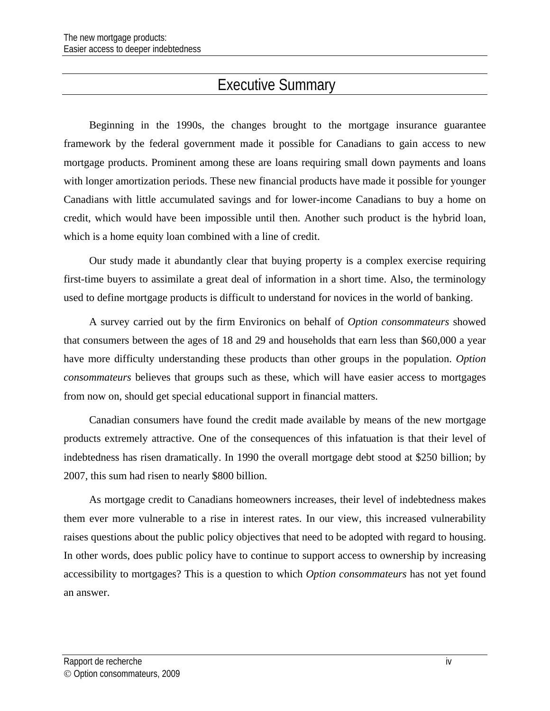## Executive Summary

Beginning in the 1990s, the changes brought to the mortgage insurance guarantee framework by the federal government made it possible for Canadians to gain access to new mortgage products. Prominent among these are loans requiring small down payments and loans with longer amortization periods. These new financial products have made it possible for younger Canadians with little accumulated savings and for lower-income Canadians to buy a home on credit, which would have been impossible until then. Another such product is the hybrid loan, which is a home equity loan combined with a line of credit.

Our study made it abundantly clear that buying property is a complex exercise requiring first-time buyers to assimilate a great deal of information in a short time. Also, the terminology used to define mortgage products is difficult to understand for novices in the world of banking.

A survey carried out by the firm Environics on behalf of *Option consommateurs* showed that consumers between the ages of 18 and 29 and households that earn less than \$60,000 a year have more difficulty understanding these products than other groups in the population. *Option consommateurs* believes that groups such as these, which will have easier access to mortgages from now on, should get special educational support in financial matters.

Canadian consumers have found the credit made available by means of the new mortgage products extremely attractive. One of the consequences of this infatuation is that their level of indebtedness has risen dramatically. In 1990 the overall mortgage debt stood at \$250 billion; by 2007, this sum had risen to nearly \$800 billion.

As mortgage credit to Canadians homeowners increases, their level of indebtedness makes them ever more vulnerable to a rise in interest rates. In our view, this increased vulnerability raises questions about the public policy objectives that need to be adopted with regard to housing. In other words, does public policy have to continue to support access to ownership by increasing accessibility to mortgages? This is a question to which *Option consommateurs* has not yet found an answer.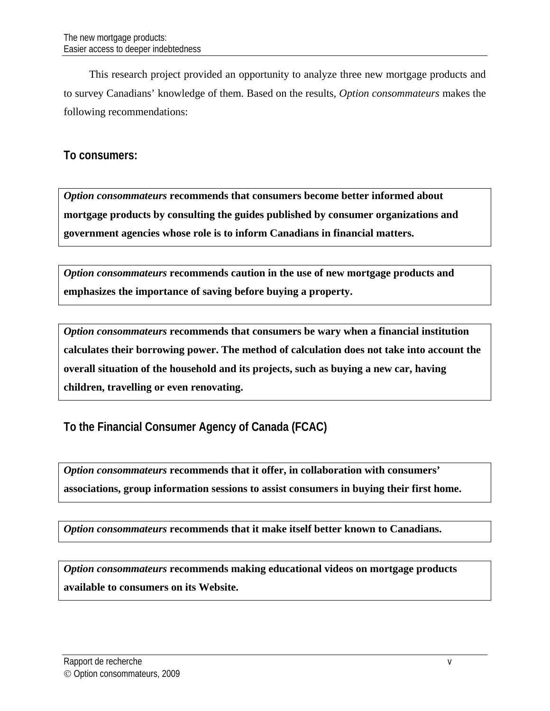This research project provided an opportunity to analyze three new mortgage products and to survey Canadians' knowledge of them. Based on the results, *Option consommateurs* makes the following recommendations:

#### **To consumers:**

*Option consommateurs* **recommends that consumers become better informed about mortgage products by consulting the guides published by consumer organizations and government agencies whose role is to inform Canadians in financial matters.** 

*Option consommateurs* **recommends caution in the use of new mortgage products and emphasizes the importance of saving before buying a property.** 

*Option consommateurs* **recommends that consumers be wary when a financial institution calculates their borrowing power. The method of calculation does not take into account the overall situation of the household and its projects, such as buying a new car, having children, travelling or even renovating.** 

**To the Financial Consumer Agency of Canada (FCAC)** 

*Option consommateurs* **recommends that it offer, in collaboration with consumers' associations, group information sessions to assist consumers in buying their first home.** 

*Option consommateurs* **recommends that it make itself better known to Canadians.** 

*Option consommateurs* **recommends making educational videos on mortgage products available to consumers on its Website.**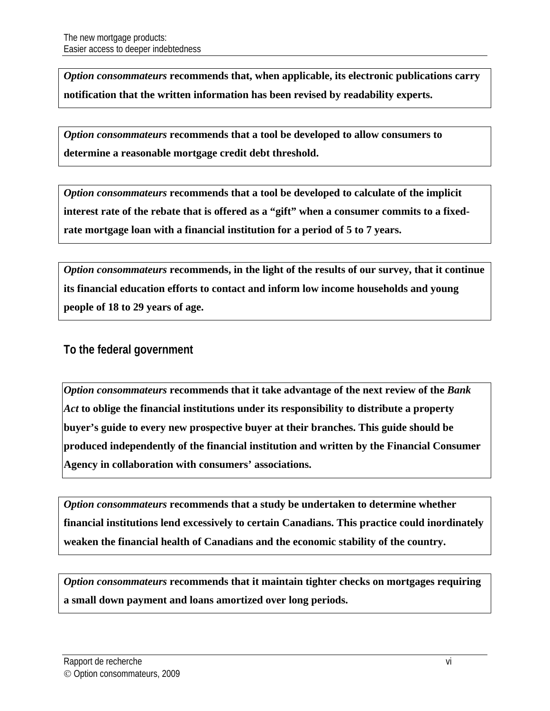*Option consommateurs* **recommends that, when applicable, its electronic publications carry notification that the written information has been revised by readability experts.** 

*Option consommateurs* **recommends that a tool be developed to allow consumers to determine a reasonable mortgage credit debt threshold.** 

*Option consommateurs* **recommends that a tool be developed to calculate of the implicit interest rate of the rebate that is offered as a "gift" when a consumer commits to a fixedrate mortgage loan with a financial institution for a period of 5 to 7 years.** 

*Option consommateurs* **recommends, in the light of the results of our survey, that it continue its financial education efforts to contact and inform low income households and young people of 18 to 29 years of age.** 

**To the federal government** 

*Option consommateurs* **recommends that it take advantage of the next review of the** *Bank Act* **to oblige the financial institutions under its responsibility to distribute a property buyer's guide to every new prospective buyer at their branches. This guide should be produced independently of the financial institution and written by the Financial Consumer Agency in collaboration with consumers' associations.** 

*Option consommateurs* **recommends that a study be undertaken to determine whether financial institutions lend excessively to certain Canadians. This practice could inordinately weaken the financial health of Canadians and the economic stability of the country.** 

*Option consommateurs* **recommends that it maintain tighter checks on mortgages requiring a small down payment and loans amortized over long periods.**